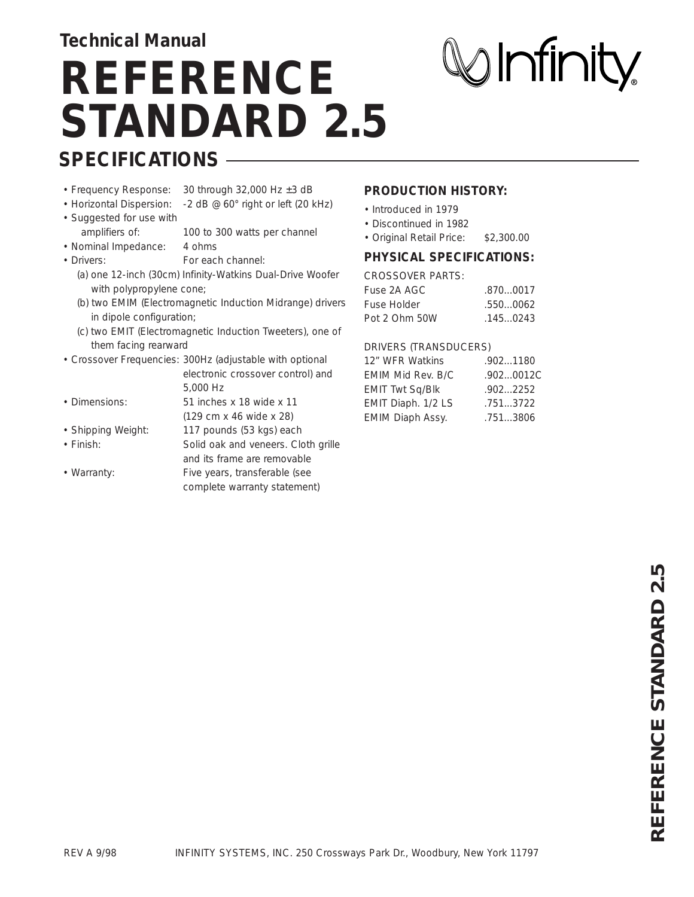### **Technical Manual**

# **SPECIFICATIONS REFERENCE STANDARD 2.5**

# $\oslash$  Infinity

- 
- Frequency Response: 30 through 32,000 Hz ±3 dB
- Horizontal Dispersion: -2 dB @ 60° right or left (20 kHz)
- Suggested for use with
	- amplifiers of: 100 to 300 watts per channel
- Nominal Impedance: 4 ohms • Drivers: For each channel:
	- (a) one 12-inch (30cm) Infinity-Watkins Dual-Drive Woofer with polypropylene cone;
	- (b) two EMIM (Electromagnetic Induction Midrange) drivers in dipole configuration;
	- (c) two EMIT (Electromagnetic Induction Tweeters), one of them facing rearward
- Crossover Frequencies: 300Hz (adjustable with optional
	- electronic crossover control) and 5,000 Hz
- Dimensions: 51 inches x 18 wide x 11 (129 cm x 46 wide x 28)
- Shipping Weight: 117 pounds (53 kgs) each
- 
- 
- Finish: Solid oak and veneers. Cloth grille and its frame are removable
- Warranty: Five years, transferable (see complete warranty statement)

#### **PRODUCTION HISTORY:**

- Introduced in 1979
- Discontinued in 1982
- Original Retail Price: \$2,300.00

#### **PHYSICAL SPECIFICATIONS:**

#### CROSSOVER PARTS:

| Fuse 2A AGC   | .8700017 |
|---------------|----------|
| Fuse Holder   | .5500062 |
| Pot 2 Ohm 50W | .1450243 |

#### DRIVERS (TRANSDUCERS)

| 12" WFR Watkins        | .9021180  |
|------------------------|-----------|
| EMIM Mid Rev. B/C      | .9020012C |
| <b>EMIT Twt Sq/Blk</b> | .9022252  |
| EMIT Diaph. 1/2 LS     | .7513722  |
| EMIM Diaph Assy.       | .7513806  |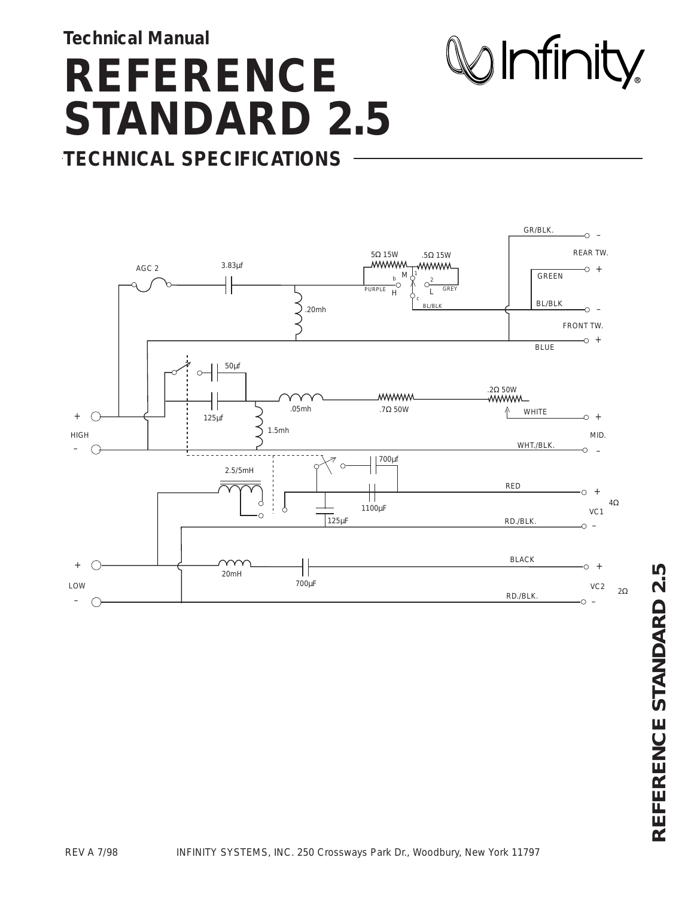**Technical Manual**

LOW

–

# **REFERENCE STANDARD 2.5 TECHNICAL SPECIFICATIONS**

 $\mathcal Q$  Infinity



–

RD./BLK.

VC2

2Ω